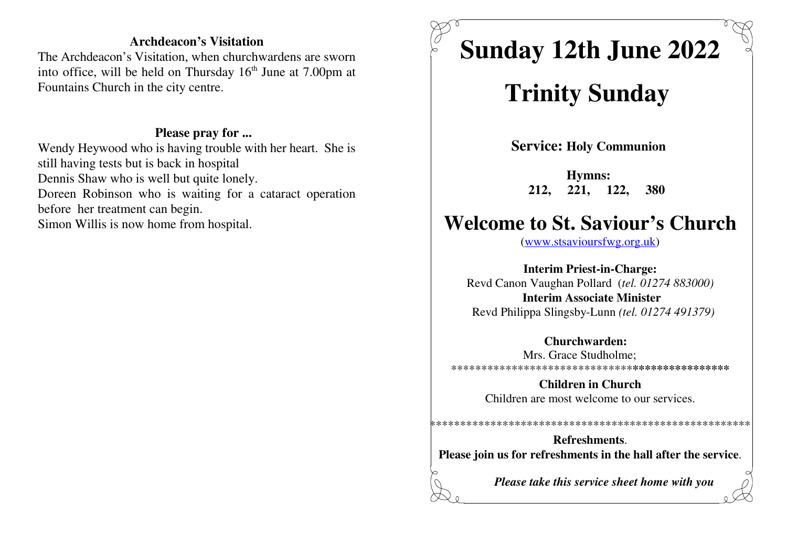#### **Archdeacon's Visitation**

 The Archdeacon's Visitation, when churchwardens are sworninto office, will be held on Thursday  $16<sup>th</sup>$  June at 7.00pm at Fountains Church in the city centre.

#### **Please pray for ...**

 Wendy Heywood who is having trouble with her heart. She isstill having tests but is back in hospitalDennis Shaw who is well but quite lonely.Doreen Robinson who is waiting for a cataract operationbefore her treatment can begin.Simon Willis is now home from hospital.

# **Sunday 12th June 2022**

## **Trinity Sunday**

**Service: Holy Communion** 

**Hymns: 212, 221, 122, 380**

### **Welcome to St. Saviour's Church**

(www.stsavioursfwg.org.uk)

**Interim Priest-in-Charge:** Revd Canon Vaughan Pollard (*tel. 01274 883000)***Interim Associate Minister**Revd Philippa Slingsby-Lunn *(tel. 01274 491379)*

#### **Churchwarden:** Mrs. Grace Studholme;

\*\*\*\*\*\*\*\*\*\*\*\*\*\*\*\*\*\*\*\*\*\*\*\*\*\*\*\*\*\***\*\*\*\*\*\*\*\*\*\*\*\*\*\*\*\***

**Children in Church**Children are most welcome to our services.

\*\*\*\*\*\*\*\*\*\*\*\*\*\*\*\*\*\*\*\*\*\*\*\*\*\*\*\*\*\*\*\*\*\*\*\*\*\*\*\*\*\*\*\*\*\*\*\*\*\*\*\*\*

**Refreshments**.**Please join us for refreshments in the hall after the service**.

*Please take this service sheet home with you*